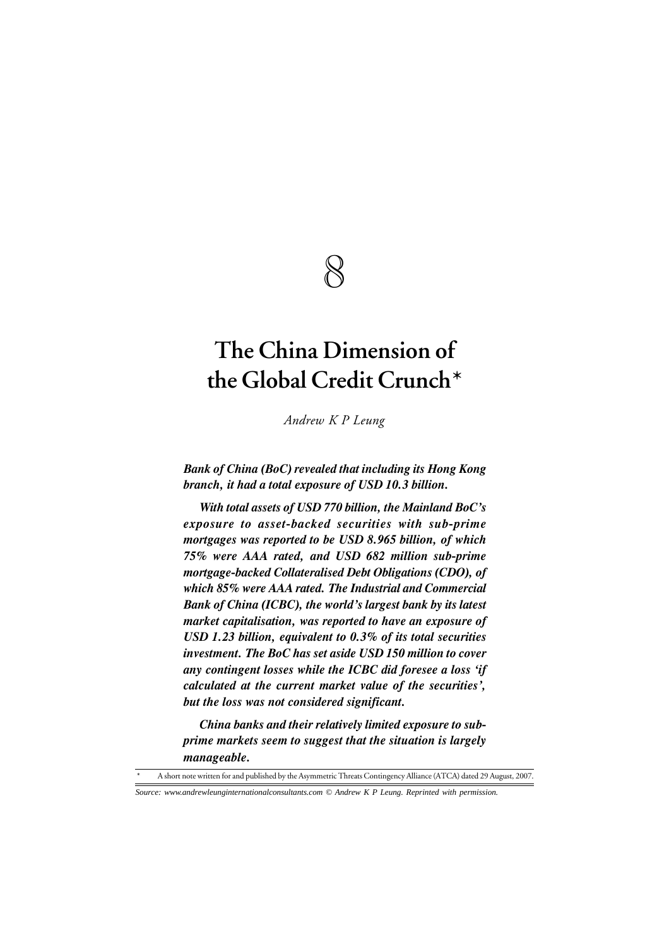# 8

# **The China Dimension of the Global Credit Crunch\***

*Andrew K P Leung*

*Bank of China (BoC) revealed that including its Hong Kong branch, it had a total exposure of USD 10.3 billion.*

*With total assets of USD 770 billion, the Mainland BoC's exposure to asset-backed securities with sub-prime mortgages was reported to be USD 8.965 billion, of which 75% were AAA rated, and USD 682 million sub-prime mortgage-backed Collateralised Debt Obligations (CDO), of which 85% were AAA rated. The Industrial and Commercial Bank of China (ICBC), the world's largest bank by its latest market capitalisation, was reported to have an exposure of USD 1.23 billion, equivalent to 0.3% of its total securities investment. The BoC has set aside USD 150 million to cover any contingent losses while the ICBC did foresee a loss 'if calculated at the current market value of the securities', but the loss was not considered significant.*

*China banks and their relatively limited exposure to subprime markets seem to suggest that the situation is largely manageable.*

A short note written for and published by the Asymmetric Threats Contingency Alliance (ATCA) dated 29 August, 2007.

*Source: www.andrewleunginternationalconsultants.com © Andrew K P Leung. Reprinted with permission.*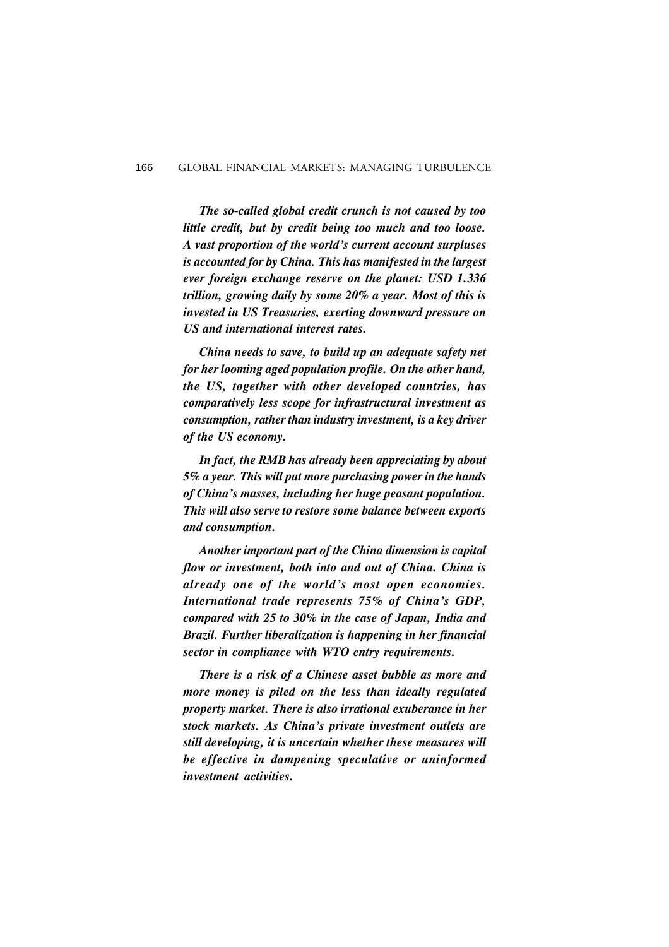*The so-called global credit crunch is not caused by too little credit, but by credit being too much and too loose. A vast proportion of the world's current account surpluses is accounted for by China. This has manifested in the largest ever foreign exchange reserve on the planet: USD 1.336 trillion, growing daily by some 20% a year. Most of this is invested in US Treasuries, exerting downward pressure on US and international interest rates.*

*China needs to save, to build up an adequate safety net for her looming aged population profile. On the other hand, the US, together with other developed countries, has comparatively less scope for infrastructural investment as consumption, rather than industry investment, is a key driver of the US economy.*

*In fact, the RMB has already been appreciating by about 5% a year. This will put more purchasing power in the hands of China's masses, including her huge peasant population. This will also serve to restore some balance between exports and consumption.*

*Another important part of the China dimension is capital flow or investment, both into and out of China. China is already one of the world's most open economies. International trade represents 75% of China's GDP, compared with 25 to 30% in the case of Japan, India and Brazil. Further liberalization is happening in her financial sector in compliance with WTO entry requirements.*

*There is a risk of a Chinese asset bubble as more and more money is piled on the less than ideally regulated property market. There is also irrational exuberance in her stock markets. As China's private investment outlets are still developing, it is uncertain whether these measures will be effective in dampening speculative or uninformed investment activities.*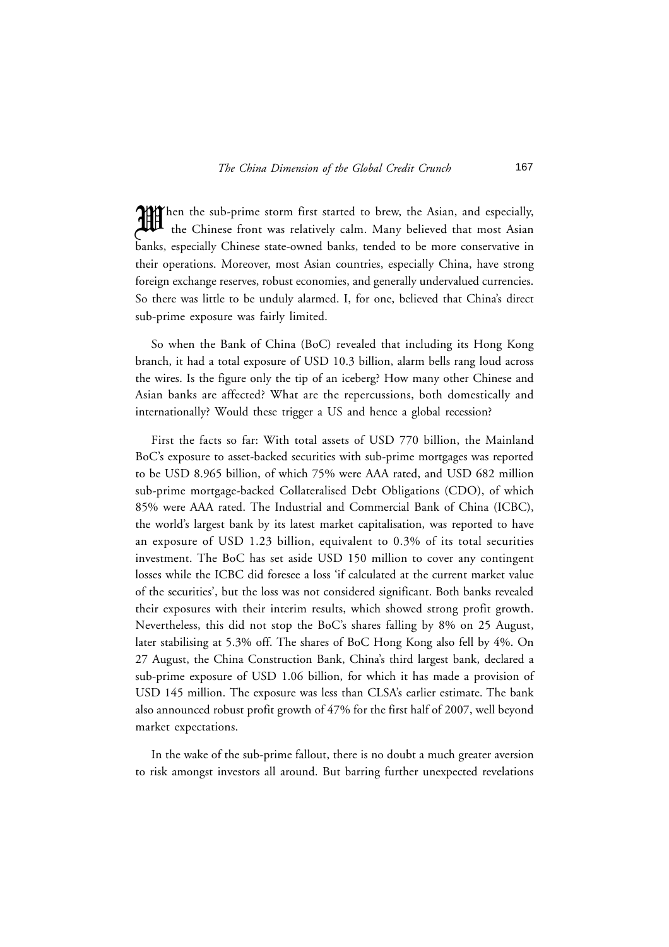Then the sub-prime storm first started to brew, the Asian, and especially, the Chinese front was relatively calm. Many believed that most Asian the Chinese front was relatively calm. Many believed that most Asian banks, especially Chinese state-owned banks, tended to be more conservative in their operations. Moreover, most Asian countries, especially China, have strong foreign exchange reserves, robust economies, and generally undervalued currencies. So there was little to be unduly alarmed. I, for one, believed that China's direct sub-prime exposure was fairly limited.

So when the Bank of China (BoC) revealed that including its Hong Kong branch, it had a total exposure of USD 10.3 billion, alarm bells rang loud across the wires. Is the figure only the tip of an iceberg? How many other Chinese and Asian banks are affected? What are the repercussions, both domestically and internationally? Would these trigger a US and hence a global recession?

First the facts so far: With total assets of USD 770 billion, the Mainland BoC's exposure to asset-backed securities with sub-prime mortgages was reported to be USD 8.965 billion, of which 75% were AAA rated, and USD 682 million sub-prime mortgage-backed Collateralised Debt Obligations (CDO), of which 85% were AAA rated. The Industrial and Commercial Bank of China (ICBC), the world's largest bank by its latest market capitalisation, was reported to have an exposure of USD 1.23 billion, equivalent to 0.3% of its total securities investment. The BoC has set aside USD 150 million to cover any contingent losses while the ICBC did foresee a loss 'if calculated at the current market value of the securities', but the loss was not considered significant. Both banks revealed their exposures with their interim results, which showed strong profit growth. Nevertheless, this did not stop the BoC's shares falling by 8% on 25 August, later stabilising at 5.3% off. The shares of BoC Hong Kong also fell by 4%. On 27 August, the China Construction Bank, China's third largest bank, declared a sub-prime exposure of USD 1.06 billion, for which it has made a provision of USD 145 million. The exposure was less than CLSA's earlier estimate. The bank also announced robust profit growth of 47% for the first half of 2007, well beyond market expectations.

In the wake of the sub-prime fallout, there is no doubt a much greater aversion to risk amongst investors all around. But barring further unexpected revelations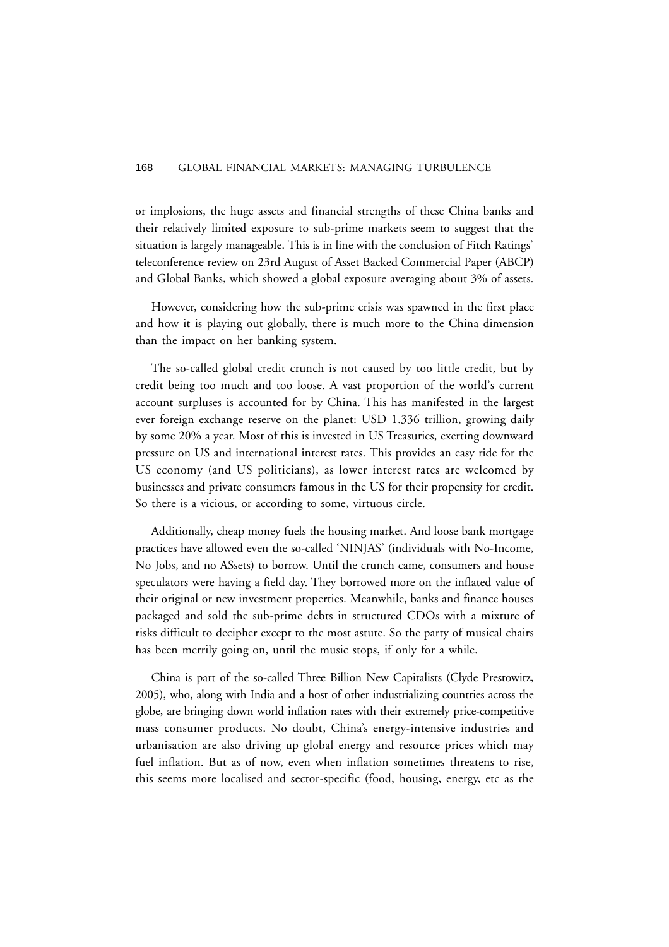or implosions, the huge assets and financial strengths of these China banks and their relatively limited exposure to sub-prime markets seem to suggest that the situation is largely manageable. This is in line with the conclusion of Fitch Ratings' teleconference review on 23rd August of Asset Backed Commercial Paper (ABCP) and Global Banks, which showed a global exposure averaging about 3% of assets.

However, considering how the sub-prime crisis was spawned in the first place and how it is playing out globally, there is much more to the China dimension than the impact on her banking system.

The so-called global credit crunch is not caused by too little credit, but by credit being too much and too loose. A vast proportion of the world's current account surpluses is accounted for by China. This has manifested in the largest ever foreign exchange reserve on the planet: USD 1.336 trillion, growing daily by some 20% a year. Most of this is invested in US Treasuries, exerting downward pressure on US and international interest rates. This provides an easy ride for the US economy (and US politicians), as lower interest rates are welcomed by businesses and private consumers famous in the US for their propensity for credit. So there is a vicious, or according to some, virtuous circle.

Additionally, cheap money fuels the housing market. And loose bank mortgage practices have allowed even the so-called 'NINJAS' (individuals with No-Income, No Jobs, and no ASsets) to borrow. Until the crunch came, consumers and house speculators were having a field day. They borrowed more on the inflated value of their original or new investment properties. Meanwhile, banks and finance houses packaged and sold the sub-prime debts in structured CDOs with a mixture of risks difficult to decipher except to the most astute. So the party of musical chairs has been merrily going on, until the music stops, if only for a while.

China is part of the so-called Three Billion New Capitalists (Clyde Prestowitz, 2005), who, along with India and a host of other industrializing countries across the globe, are bringing down world inflation rates with their extremely price-competitive mass consumer products. No doubt, China's energy-intensive industries and urbanisation are also driving up global energy and resource prices which may fuel inflation. But as of now, even when inflation sometimes threatens to rise, this seems more localised and sector-specific (food, housing, energy, etc as the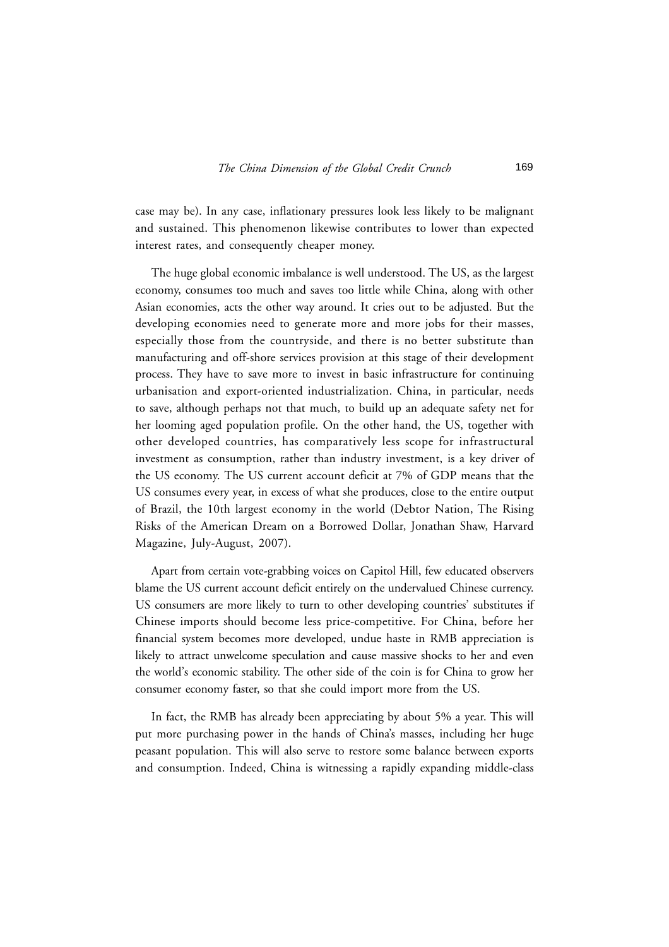case may be). In any case, inflationary pressures look less likely to be malignant and sustained. This phenomenon likewise contributes to lower than expected interest rates, and consequently cheaper money.

The huge global economic imbalance is well understood. The US, as the largest economy, consumes too much and saves too little while China, along with other Asian economies, acts the other way around. It cries out to be adjusted. But the developing economies need to generate more and more jobs for their masses, especially those from the countryside, and there is no better substitute than manufacturing and off-shore services provision at this stage of their development process. They have to save more to invest in basic infrastructure for continuing urbanisation and export-oriented industrialization. China, in particular, needs to save, although perhaps not that much, to build up an adequate safety net for her looming aged population profile. On the other hand, the US, together with other developed countries, has comparatively less scope for infrastructural investment as consumption, rather than industry investment, is a key driver of the US economy. The US current account deficit at 7% of GDP means that the US consumes every year, in excess of what she produces, close to the entire output of Brazil, the 10th largest economy in the world (Debtor Nation, The Rising Risks of the American Dream on a Borrowed Dollar, Jonathan Shaw, Harvard Magazine, July-August, 2007).

Apart from certain vote-grabbing voices on Capitol Hill, few educated observers blame the US current account deficit entirely on the undervalued Chinese currency. US consumers are more likely to turn to other developing countries' substitutes if Chinese imports should become less price-competitive. For China, before her financial system becomes more developed, undue haste in RMB appreciation is likely to attract unwelcome speculation and cause massive shocks to her and even the world's economic stability. The other side of the coin is for China to grow her consumer economy faster, so that she could import more from the US.

In fact, the RMB has already been appreciating by about 5% a year. This will put more purchasing power in the hands of China's masses, including her huge peasant population. This will also serve to restore some balance between exports and consumption. Indeed, China is witnessing a rapidly expanding middle-class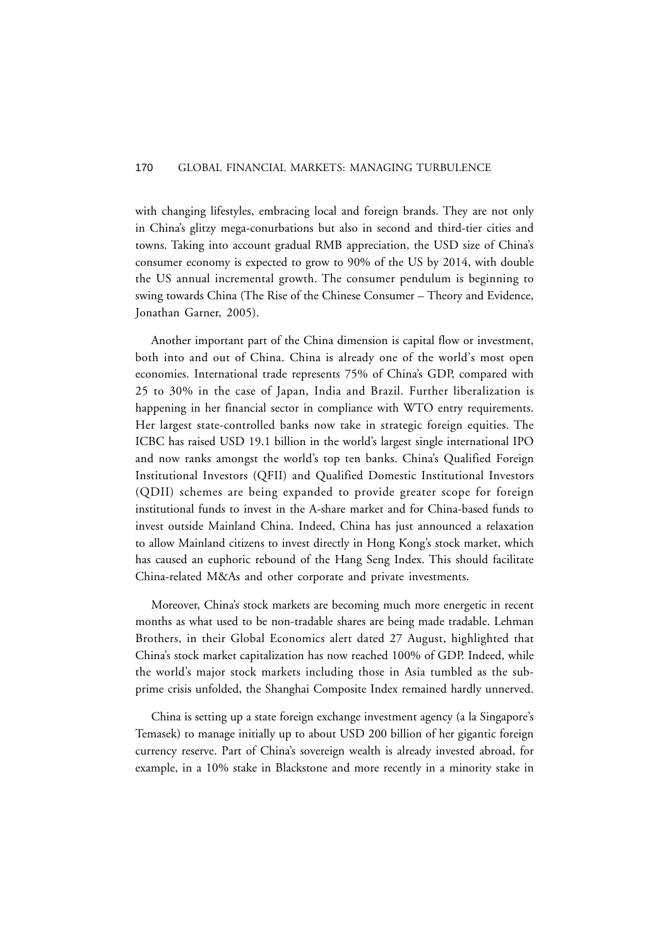with changing lifestyles, embracing local and foreign brands. They are not only in China's glitzy mega-conurbations but also in second and third-tier cities and towns. Taking into account gradual RMB appreciation, the USD size of China's consumer economy is expected to grow to 90% of the US by 2014, with double the US annual incremental growth. The consumer pendulum is beginning to swing towards China (The Rise of the Chinese Consumer – Theory and Evidence, Jonathan Garner, 2005).

Another important part of the China dimension is capital flow or investment, both into and out of China. China is already one of the world's most open economies. International trade represents 75% of China's GDP, compared with 25 to 30% in the case of Japan, India and Brazil. Further liberalization is happening in her financial sector in compliance with WTO entry requirements. Her largest state-controlled banks now take in strategic foreign equities. The ICBC has raised USD 19.1 billion in the world's largest single international IPO and now ranks amongst the world's top ten banks. China's Qualified Foreign Institutional Investors (QFII) and Qualified Domestic Institutional Investors (QDII) schemes are being expanded to provide greater scope for foreign institutional funds to invest in the A-share market and for China-based funds to invest outside Mainland China. Indeed, China has just announced a relaxation to allow Mainland citizens to invest directly in Hong Kong's stock market, which has caused an euphoric rebound of the Hang Seng Index. This should facilitate China-related M&As and other corporate and private investments.

Moreover, China's stock markets are becoming much more energetic in recent months as what used to be non-tradable shares are being made tradable. Lehman Brothers, in their Global Economics alert dated 27 August, highlighted that China's stock market capitalization has now reached 100% of GDP. Indeed, while the world's major stock markets including those in Asia tumbled as the subprime crisis unfolded, the Shanghai Composite Index remained hardly unnerved.

China is setting up a state foreign exchange investment agency (a la Singapore's Temasek) to manage initially up to about USD 200 billion of her gigantic foreign currency reserve. Part of China's sovereign wealth is already invested abroad, for example, in a 10% stake in Blackstone and more recently in a minority stake in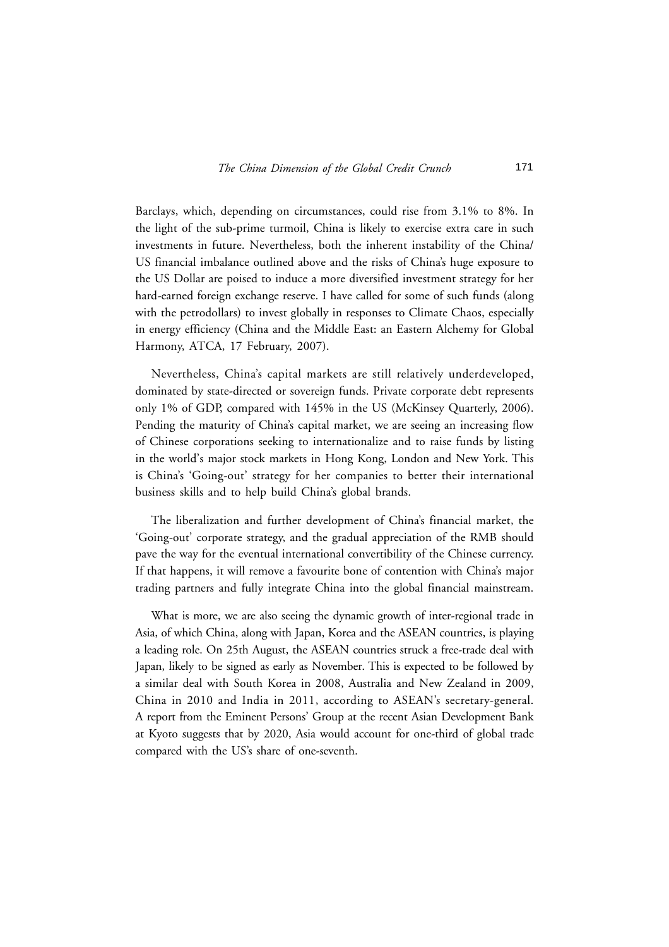Barclays, which, depending on circumstances, could rise from 3.1% to 8%. In the light of the sub-prime turmoil, China is likely to exercise extra care in such investments in future. Nevertheless, both the inherent instability of the China/ US financial imbalance outlined above and the risks of China's huge exposure to the US Dollar are poised to induce a more diversified investment strategy for her hard-earned foreign exchange reserve. I have called for some of such funds (along with the petrodollars) to invest globally in responses to Climate Chaos, especially in energy efficiency (China and the Middle East: an Eastern Alchemy for Global Harmony, ATCA, 17 February, 2007).

Nevertheless, China's capital markets are still relatively underdeveloped, dominated by state-directed or sovereign funds. Private corporate debt represents only 1% of GDP, compared with 145% in the US (McKinsey Quarterly, 2006). Pending the maturity of China's capital market, we are seeing an increasing flow of Chinese corporations seeking to internationalize and to raise funds by listing in the world's major stock markets in Hong Kong, London and New York. This is China's 'Going-out' strategy for her companies to better their international business skills and to help build China's global brands.

The liberalization and further development of China's financial market, the 'Going-out' corporate strategy, and the gradual appreciation of the RMB should pave the way for the eventual international convertibility of the Chinese currency. If that happens, it will remove a favourite bone of contention with China's major trading partners and fully integrate China into the global financial mainstream.

What is more, we are also seeing the dynamic growth of inter-regional trade in Asia, of which China, along with Japan, Korea and the ASEAN countries, is playing a leading role. On 25th August, the ASEAN countries struck a free-trade deal with Japan, likely to be signed as early as November. This is expected to be followed by a similar deal with South Korea in 2008, Australia and New Zealand in 2009, China in 2010 and India in 2011, according to ASEAN's secretary-general. A report from the Eminent Persons' Group at the recent Asian Development Bank at Kyoto suggests that by 2020, Asia would account for one-third of global trade compared with the US's share of one-seventh.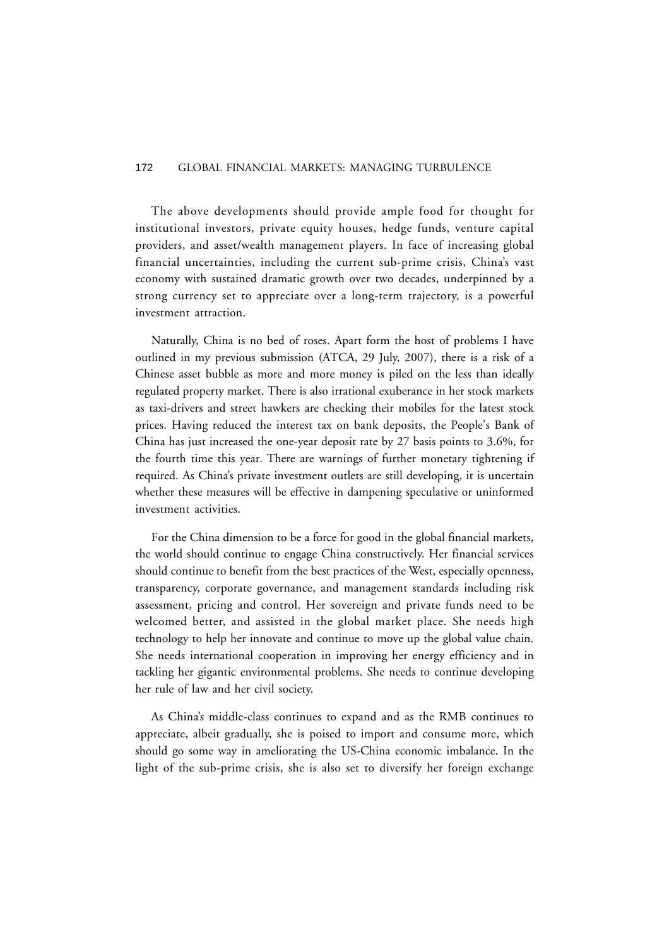The above developments should provide ample food for thought for institutional investors, private equity houses, hedge funds, venture capital providers, and asset/wealth management players. In face of increasing global financial uncertainties, including the current sub-prime crisis, China's vast economy with sustained dramatic growth over two decades, underpinned by a strong currency set to appreciate over a long-term trajectory, is a powerful investment attraction.

Naturally, China is no bed of roses. Apart form the host of problems I have outlined in my previous submission (ATCA, 29 July, 2007), there is a risk of a Chinese asset bubble as more and more money is piled on the less than ideally regulated property market. There is also irrational exuberance in her stock markets as taxi-drivers and street hawkers are checking their mobiles for the latest stock prices. Having reduced the interest tax on bank deposits, the People's Bank of China has just increased the one-year deposit rate by 27 basis points to 3.6%, for the fourth time this year. There are warnings of further monetary tightening if required. As China's private investment outlets are still developing, it is uncertain whether these measures will be effective in dampening speculative or uninformed investment activities.

For the China dimension to be a force for good in the global financial markets, the world should continue to engage China constructively. Her financial services should continue to benefit from the best practices of the West, especially openness, transparency, corporate governance, and management standards including risk assessment, pricing and control. Her sovereign and private funds need to be welcomed better, and assisted in the global market place. She needs high technology to help her innovate and continue to move up the global value chain. She needs international cooperation in improving her energy efficiency and in tackling her gigantic environmental problems. She needs to continue developing her rule of law and her civil society.

As China's middle-class continues to expand and as the RMB continues to appreciate, albeit gradually, she is poised to import and consume more, which should go some way in ameliorating the US-China economic imbalance. In the light of the sub-prime crisis, she is also set to diversify her foreign exchange